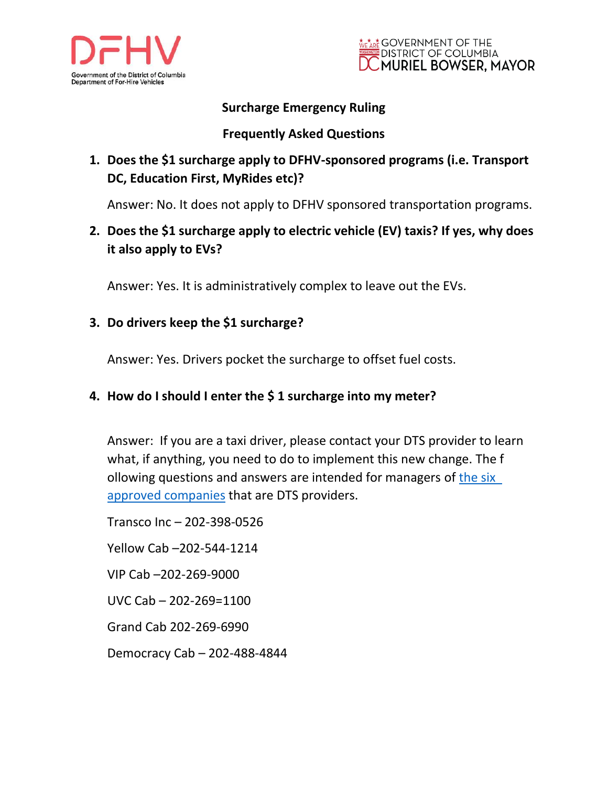



## **Surcharge Emergency Ruling**

### **Frequently Asked Questions**

# **1. Does the \$1 surcharge apply to DFHV-sponsored programs (i.e. Transport DC, Education First, MyRides etc)?**

Answer: No. It does not apply to DFHV sponsored transportation programs.

**2. Does the \$1 surcharge apply to electric vehicle (EV) taxis? If yes, why does it also apply to EVs?**

Answer: Yes. It is administratively complex to leave out the EVs.

### **3. Do drivers keep the \$1 surcharge?**

Answer: Yes. Drivers pocket the surcharge to offset fuel costs.

#### **4. How do I should I enter the \$ 1 surcharge into my meter?**

Answer: If you are a taxi driver, please contact your DTS provider to learn what, if anything, you need to do to implement this new change. The f ollowing questions and answers are intended for managers of [the six](https://dfhv.dc.gov/page/digital-taxicab-solution-providers-and-option-payment-technology)  approved companies that are DTS providers.

Transco Inc – 202-398-0526 Yellow Cab –202-544-1214 VIP Cab –202-269-9000 UVC Cab – 202-269=1100 Grand Cab 202-269-6990 Democracy Cab – 202-488-4844